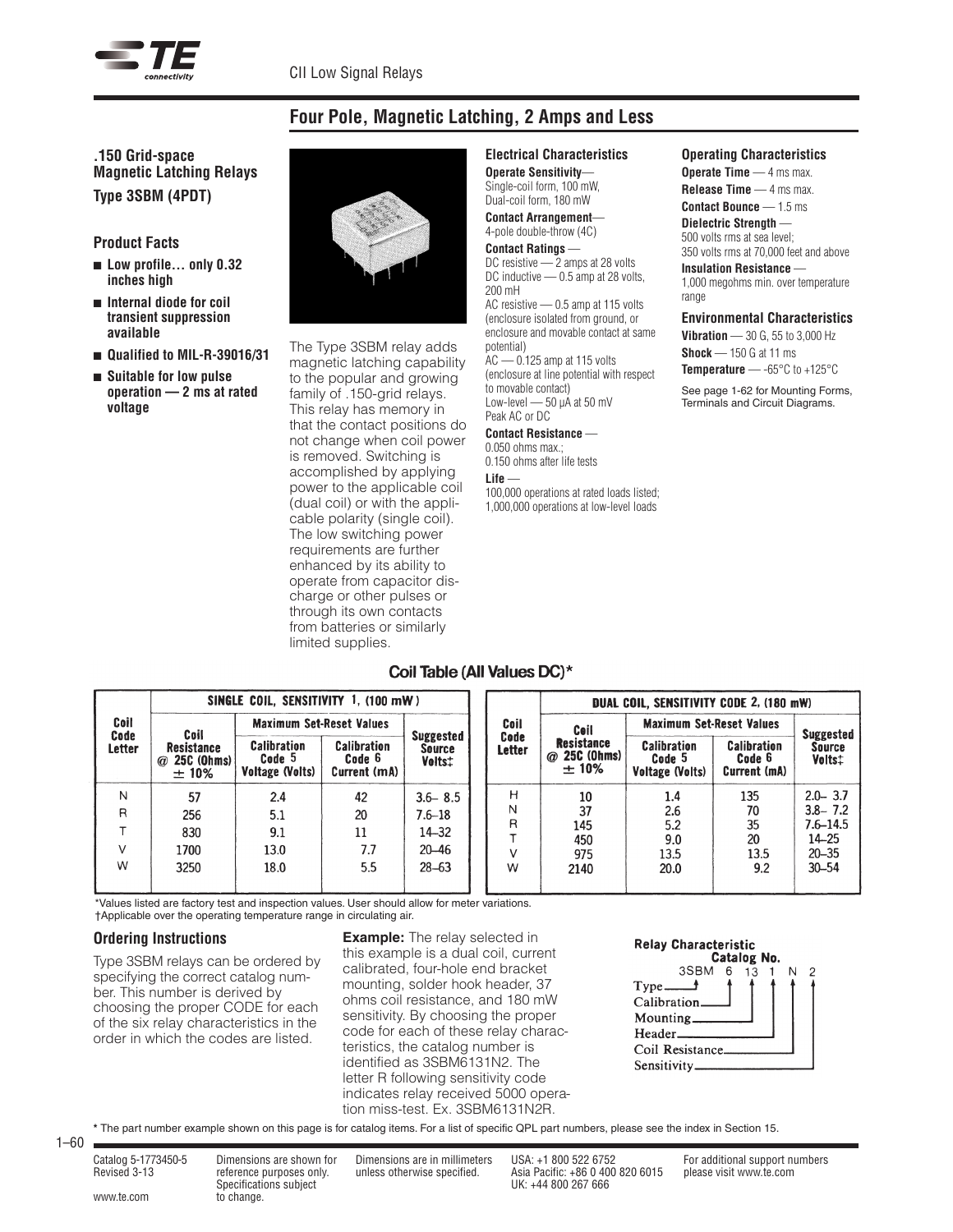

# **Four Pole, Magnetic Latching, 2 Amps and Less**

# **.150 Grid-space Magnetic Latching Relays Type 3SBM (4PDT)**

## **Product Facts**

- Low profile... only 0.32 **inches high**
- <sup>n</sup> **Internal diode for coil transient suppression available**
- Qualified to MIL-R-39016/31
- <sup>n</sup> **Suitable for low pulse operation — 2 ms at rated voltage**



The Type 3SBM relay adds magnetic latching capability to the popular and growing family of .150-grid relays. This relay has memory in that the contact positions do not change when coil power is removed. Switching is accomplished by applying power to the applicable coil (dual coil) or with the applicable polarity (single coil). The low switching power requirements are further enhanced by its ability to operate from capacitor discharge or other pulses or through its own contacts from batteries or similarly limited supplies.

#### **Electrical Characteristics Operate Sensitivity**—

Single-coil form, 100 mW, Dual-coil form, 180 mW **Contact Arrangement**—

4-pole double-throw (4C)

**Contact Ratings** — DC resistive — 2 amps at 28 volts DC inductive — 0.5 amp at 28 volts. 200 mH AC resistive — 0.5 amp at 115 volts (enclosure isolated from ground, or enclosure and movable contact at same potential) AC — 0.125 amp at 115 volts (enclosure at line potential with respect to movable contact) Low-level  $-50$   $\mu$ A at 50 mV Peak AC or DC

#### **Contact Resistance** —

0.050 ohms max.; 0.150 ohms after life tests **Life** — 100,000 operations at rated loads listed; 1,000,000 operations at low-level loads

#### **Operating Characteristics**

**Operate Time** — 4 ms max. **Release Time** — 4 ms max. **Contact Bounce** — 1.5 ms

**Dielectric Strength** — 500 volts rms at sea level; 350 volts rms at 70,000 feet and above

#### **Insulation Resistance** — 1,000 megohms min. over temperature

range

# **Environmental Characteristics**

**Vibration** — 30 G, 55 to 3,000 Hz **Shock** — 150 G at 11 ms **Temperature** — -65°C to +125°C

See page 1-62 for Mounting Forms, Terminals and Circuit Diagrams.

# Coil Table (All Values DC)\*

|                               | SINGLE COIL. SENSITIVITY 1. (100 mW)             |                                                 |                                              |                                             |                       | <b>DUAL COIL. SENSITIVITY CODE 2, (180 mW)</b>   |                                                 |                                              |                         |
|-------------------------------|--------------------------------------------------|-------------------------------------------------|----------------------------------------------|---------------------------------------------|-----------------------|--------------------------------------------------|-------------------------------------------------|----------------------------------------------|-------------------------|
| Coil<br>Code<br><b>Letter</b> | Coil                                             | <b>Maximum Set-Reset Values</b>                 |                                              |                                             | Coil                  | Ceil                                             | <b>Maximum Set-Reset Values</b>                 |                                              | <b>Suggested</b>        |
|                               | <b>Resistance</b><br>$\omega$ 25C (Ohms)<br>±10% | <b>Calibration</b><br>Code 5<br>Voltage (Volts) | <b>Calibration</b><br>Code 6<br>Current (mA) | <b>Suggested</b><br><b>Source</b><br>Volts: | Code<br><b>Letter</b> | <b>Resistance</b><br>$\omega$ 25C (Ohms)<br>±10% | <b>Calibration</b><br>Code 5<br>Voltage (Volts) | <b>Calibration</b><br>Code 6<br>Current (mA) | <b>Source</b><br>Volts: |
| N                             | 57                                               | 2.4                                             | 42                                           | $3.6 - 8.5$                                 | н                     | 10                                               | 1.4                                             | 135                                          | $2.0 - 3.7$             |
| R                             | 256                                              | 5.1                                             | 20                                           | $7.6 - 18$                                  | Ν                     | 37                                               | 2.6                                             | 70                                           | $3.8 - 7.2$             |
|                               | 830                                              | 9.1                                             | 11                                           | $14 - 32$                                   | R                     | 145                                              | 5.2                                             | 35                                           | $7.6 - 14.5$            |
|                               | 1700                                             | 13.0                                            | 7.7                                          | $20 - 46$                                   |                       | 450<br>975                                       | 9.0<br>13.5                                     | 20<br>13.5                                   | $14 - 25$<br>$20 - 35$  |
| W                             | 3250                                             | 18.0                                            | 5.5                                          | $28 - 63$                                   | W                     | 2140                                             | 20.0                                            | 9.2                                          | $30 - 54$               |
|                               |                                                  |                                                 |                                              |                                             |                       |                                                  |                                                 |                                              |                         |

\*Values listed are factory test and inspection values. User should allow for meter variations.

†Applicable over the operating temperature range in circulating air.

# **Ordering Instructions**

Type 3SBM relays can be ordered by specifying the correct catalog number. This number is derived by choosing the proper CODE for each of the six relay characteristics in the order in which the codes are listed.

**Example:** The relay selected in this example is a dual coil, current calibrated, four-hole end bracket mounting, solder hook header, 37 ohms coil resistance, and 180 mW sensitivity. By choosing the proper code for each of these relay characteristics, the catalog number is identified as 3SBM6131N2. The letter R following sensitivity code indicates relay received 5000 operation miss-test. Ex. 3SBM6131N2R.

# **Relay Characteristic**



**\*** The part number example shown on this page is for catalog items. For a list of specific QPL part numbers, please see the index in Section 15.

1–60

www.te.com to change.

Specifications subject UK: +44 800 267 666

Catalog 5-1773450-5 Dimensions are shown for Dimensions are in millimeters USA: +1 800 522 6752 For additional support numbers Revised 3-13 reference purposes only. unless otherwise specified. Asia Pacific: +86 0 400 820 6015 please visit www.te.com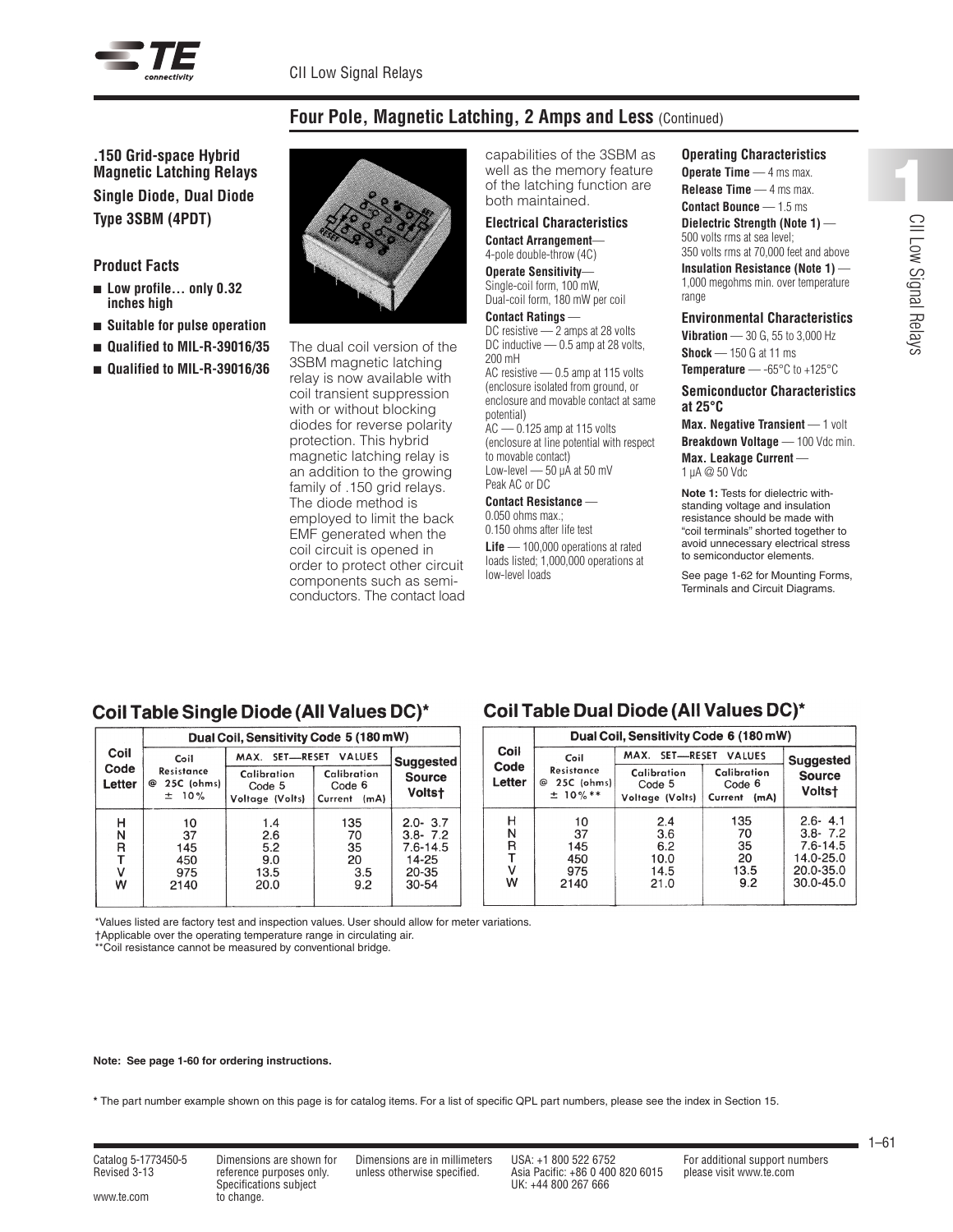

# **Four Pole, Magnetic Latching, 2 Amps and Less** (Continued)

**.150 Grid-space Hybrid Magnetic Latching Relays Single Diode, Dual Diode Type 3SBM (4PDT)**

## **Product Facts**

- Low profile... only 0.32 **inches high**
- <sup>n</sup> **Suitable for pulse operation**
- Qualified to MIL-R-39016/35
- Qualified to MIL-R-39016/36



The dual coil version of the 3SBM magnetic latching relay is now available with coil transient suppression with or without blocking diodes for reverse polarity protection. This hybrid magnetic latching relay is an addition to the growing family of .150 grid relays. The diode method is employed to limit the back EMF generated when the coil circuit is opened in order to protect other circuit components such as semiconductors. The contact load capabilities of the 3SBM as well as the memory feature of the latching function are both maintained.

#### **Electrical Characteristics Contact Arrangement**—

4-pole double-throw (4C)

**Operate Sensitivity**— Single-coil form, 100 mW, Dual-coil form, 180 mW per coil

**Contact Ratings** — DC resistive — 2 amps at 28 volts DC inductive — 0.5 amp at 28 volts, 200 mH

AC resistive — 0.5 amp at 115 volts (enclosure isolated from ground, or enclosure and movable contact at same potential)

AC — 0.125 amp at 115 volts (enclosure at line potential with respect to movable contact) Low-level - 50 µA at 50 mV Peak AC or DC

#### **Contact Resistance** —

0.050 ohms max.; 0.150 ohms after life test

**Life** — 100,000 operations at rated loads listed; 1,000,000 operations at low-level loads

#### **Operating Characteristics**

**Operate Time** — 4 ms max. **Release Time** — 4 ms max. **Contact Bounce** — 1.5 ms **Dielectric Strength (Note 1)** —

500 volts rms at sea level; 350 volts rms at 70,000 feet and above

**Insulation Resistance (Note 1)** — 1,000 megohms min. over temperature range

#### **Environmental Characteristics**

**Vibration** — 30 G, 55 to 3,000 Hz **Shock** — 150 G at 11 ms

**Temperature** — -65°C to +125°C

#### **Semiconductor Characteristics at 25°C**

**Max. Negative Transient** — 1 volt **Breakdown Voltage** — 100 Vdc min. **Max. Leakage Current** —

1 µA @ 50 Vdc

**Note 1:** Tests for dielectric withstanding voltage and insulation resistance should be made with "coil terminals" shorted together to avoid unnecessary electrical stress to semiconductor elements.

See page 1-62 for Mounting Forms, Terminals and Circuit Diagrams.

# Coil Table Single Diode (All Values DC)\*

|                  | Dual Coil, Sensitivity Code 5 (180 mW)    |                                          |                                          |                                                                           |  |  |  |
|------------------|-------------------------------------------|------------------------------------------|------------------------------------------|---------------------------------------------------------------------------|--|--|--|
| Coil             | Coil                                      | MAX. SET-RESET VALUES                    | <b>Suggested</b>                         |                                                                           |  |  |  |
| Code<br>Letter   | Resistance<br>25C (ohms)<br>ര<br>$± 10\%$ | Calibration<br>Code 5<br>Voltage (Volts) | Calibration<br>Code 6<br>Current<br>(mA) | <b>Source</b><br><b>Voltst</b>                                            |  |  |  |
| н<br>Ν<br>R<br>w | 10<br>37<br>145<br>450<br>975<br>2140     | 1.4<br>2.6<br>5.2<br>9.0<br>13.5<br>20.0 | 135<br>70<br>35<br>20<br>3.5<br>9.2      | $2.0 - 3.7$<br>$3.8 - 7.2$<br>$7.6 - 14.5$<br>14-25<br>20-35<br>$30 - 54$ |  |  |  |

# Coil Table Dual Diode (All Values DC)\*

|                            | Dual Coil, Sensitivity Code 6 (180 mW)      |                                           |                                          |                                                                                       |  |  |  |
|----------------------------|---------------------------------------------|-------------------------------------------|------------------------------------------|---------------------------------------------------------------------------------------|--|--|--|
| Coil<br>Code<br>Letter     | Coil                                        | MAX. SET-RESET VALUES                     | <b>Suggested</b>                         |                                                                                       |  |  |  |
|                            | Resistance<br>25C (ohms)<br>⊚<br>$±$ 10% ** | Calibration<br>Code 5<br>Voltage (Volts)  | Calibration<br>Code 6<br>Current<br>(mA) | <b>Source</b><br><b>Voltst</b>                                                        |  |  |  |
| н<br>Ν<br>R<br>т<br>٧<br>w | 10<br>37<br>145<br>450<br>975<br>2140       | 2.4<br>3.6<br>6.2<br>10.0<br>14.5<br>21.0 | 135<br>70<br>35<br>20<br>13.5<br>9.2     | $2.6 - 4.1$<br>$3.8 - 7.2$<br>$7.6 - 14.5$<br>14.0-25.0<br>20.0-35.0<br>$30.0 - 45.0$ |  |  |  |

\*Values listed are factory test and inspection values. User should allow for meter variations.

†Applicable over the operating temperature range in circulating air.

\*\*Coil resistance cannot be measured by conventional bridge.

**Note: See page 1-60 for ordering instructions.**

**\*** The part number example shown on this page is for catalog items. For a list of specific QPL part numbers, please see the index in Section 15.

www.te.com to change.

Specifications subject UK: +44 800 267 666

Catalog 5-1773450-5 Dimensions are shown for Dimensions are in millimeters USA: +1 800 522 6752 For additional support numbers Revised 3-13 reference purposes only. unless otherwise specified. Asia Pacific: +86 0 400 820 6015 please visit www.te.com